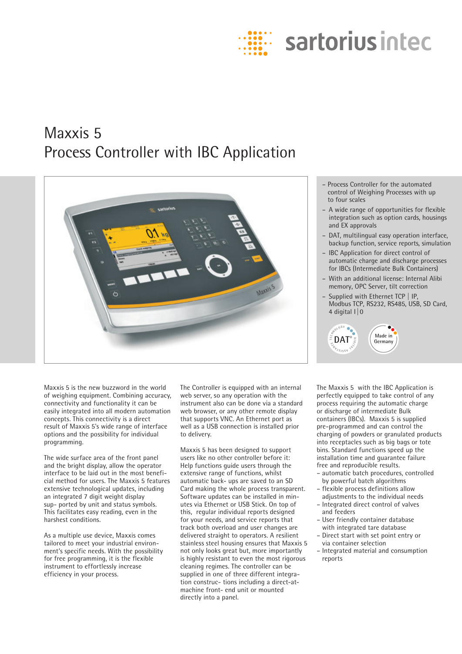

# Maxxis 5 Process Controller with IBC Application



- Process Controller for the automated control of Weighing Processes with up to four scales
- A wide range of opportunities for flexible integration such as option cards, housings and EX approvals
- DAT, multilingual easy operation interface, backup function, service reports, simulation
- IBC Application for direct control of automatic charge and discharge processes for IBCs (Intermediate Bulk Containers)
- With an additional license: Internal Alibi memory, OPC Server, tilt correction
- Supplied with Ethernet TCP | IP, Modbus TCP, RS232, RS485, USB, SD Card, 4 digital I|0



Maxxis 5 is the new buzzword in the world of weighing equipment. Combining accuracy, connectivity and functionality it can be easily integrated into all modern automation concepts. This connectivity is a direct result of Maxxis 5's wide range of interface options and the possibility for individual programming.

The wide surface area of the front panel and the bright display, allow the operator interface to be laid out in the most beneficial method for users. The Maxxis 5 features extensive technological updates, including an integrated 7 digit weight display sup- ported by unit and status symbols. This facilitates easy reading, even in the harshest conditions.

As a multiple use device, Maxxis comes tailored to meet your industrial environment's specific needs. With the possibility for free programming, it is the flexible instrument to effortlessly increase efficiency in your process.

The Controller is equipped with an internal web server, so any operation with the instrument also can be done via a standard web browser, or any other remote display that supports VNC. An Ethernet port as well as a USB connection is installed prior to delivery.

Maxxis 5 has been designed to support users like no other controller before it: Help functions guide users through the extensive range of functions, whilst automatic back- ups are saved to an SD Card making the whole process transparent. Software updates can be installed in minutes via Ethernet or USB Stick. On top of this, regular individual reports designed for your needs, and service reports that track both overload and user changes are delivered straight to operators. A resilient stainless steel housing ensures that Maxxis 5 not only looks great but, more importantly is highly resistant to even the most rigorous cleaning regimes. The controller can be supplied in one of three different integration construc- tions including a direct-atmachine front- end unit or mounted directly into a panel.

The Maxxis 5 with the IBC Application is perfectly equipped to take control of any process requiring the automatic charge or discharge of intermediate Bulk containers (IBCs). Maxxis 5 is supplied pre-programmed and can control the charging of powders or granulated products into receptacles such as big bags or tote bins. Standard functions speed up the installation time and guarantee failure free and reproducible results.

- automatic batch procedures, controlled by powerful batch algorithms
- flexible process definitions allow adjustments to the individual needs – Integrated direct control of valves
- and feeders
- User friendly container database with integrated tare database
- Direct start with set point entry or via container selection
- Integrated material and consumption reports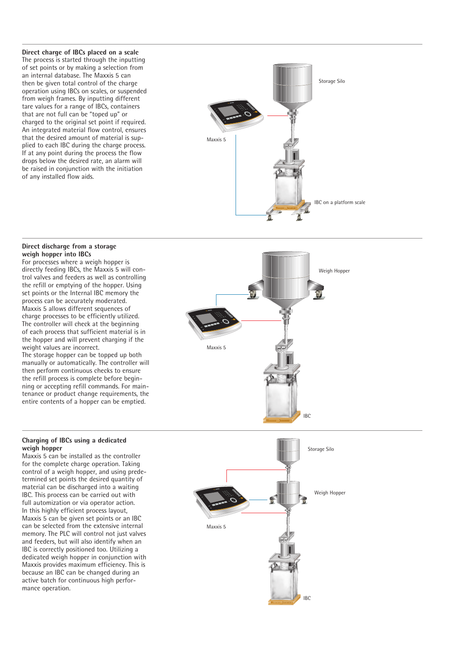**Direct charge of IBCs placed on a scale** The process is started through the inputting of set points or by making a selection from an internal database. The Maxxis 5 can then be given total control of the charge operation using IBCs on scales, or suspended from weigh frames. By inputting different tare values for a range of IBCs, containers that are not full can be "toped up" or charged to the original set point if required. An integrated material flow control, ensures that the desired amount of material is sup plied to each IBC during the charge process. If at any point during the process the flow drops below the desired rate, an alarm will be raised in conjunction with the initiation of any installed flow aids.



### **Direct discharge from a storage weigh hopper into IBCs**

For processes where a weigh hopper is directly feeding IBCs, the Maxxis 5 will con trol valves and feeders as well as controlling the refill or emptying of the hopper. Using set points or the Internal IBC memory the process can be accurately moderated. Maxxis 5 allows different sequences of charge processes to be efficiently utilized. The controller will check at the beginning of each process that sufficient material is in the hopper and will prevent charging if the weight values are incorrect.

The storage hopper can be topped up both manually or automatically. The controller will then perform continuous checks to ensure the refill process is complete before begin ning or accepting refill commands. For main tenance or product change requirements, the entire contents of a hopper can be emptied.

# **Charging of IBCs using a dedicated weigh hopper**

Maxxis 5 can be installed as the controller for the complete charge operation. Taking control of a weigh hopper, and using prede termined set points the desired quantity of material can be discharged into a waiting IBC. This process can be carried out with full automization or via operator action. In this highly efficient process layout, Maxxis 5 can be given set points or an IBC can be selected from the extensive internal memory. The PLC will control not just valves and feeders, but will also identify when an IBC is correctly positioned too. Utilizing a dedicated weigh hopper in conjunction with Maxxis provides maximum efficiency. This is because an IBC can be changed during an active batch for continuous high perfor mance operation.



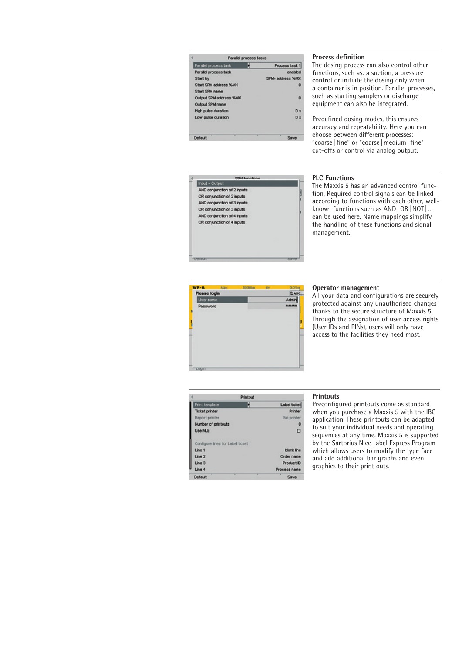|                              | Parallel process tasks |                  |
|------------------------------|------------------------|------------------|
| <b>Parallel process task</b> |                        | Process task 1   |
| Parallel process task        |                        | enabled          |
| Start by                     |                        | SPM- address %MX |
| Start SPM address %MX        |                        | o                |
| Start SPM name               |                        |                  |
| Output SPM address %MX       |                        | o                |
| Output SPM name              |                        |                  |
| High pulse duration          |                        | 0 <sub>5</sub>   |
| Low pulse duration           |                        | 0 x              |
|                              |                        |                  |
| Default                      |                        |                  |

# **Process definition**

The dosing process can also control other functions, such as: a suction, a pressure control or initiate the dosing only when a container is in position. Parallel processes, such as starting samplers or discharge equipment can also be integrated.

Predefined dosing modes, this ensures accuracy and repeatability. Here you can choose between different processes: "coarse | fine" or "coarse | medium | fine" cut-offs or control via analog output.

# **COLLANDO Input - Output** AND conjunction of 2 inputs OR conjunction of 2 inputs AND conjunction of 3 inputs OR conjunction of 3 inputs AND conjunction of 4 inputs OR conjunction of 4 inputs

#### **PLC Functions**

The Maxxis 5 has an advanced control function. Required control signals can be linked according to functions with each other, wellknown functions such as AND | OR | NOT | ... can be used here. Name mappings simplify the handling of these functions and signal management.



#### **Operator management**

All your data and configurations are securely protected against any unauthorised changes thanks to the secure structure of Maxxis 5. Through the assignation of user access rights (User IDs and PINs), users will only have access to the facilities they need most.

| Printout                         |  |                     |
|----------------------------------|--|---------------------|
| Print template                   |  | <b>Label ticket</b> |
| <b>Ticket printer</b>            |  | Printer             |
| Report printer                   |  | No printer          |
| Number of printouts              |  | о                   |
| <b>Use NLE</b>                   |  | O                   |
| Contigure lines for Label ticket |  |                     |
| Line 1                           |  | blank line          |
| Line 2                           |  | Order name          |
| Line 3                           |  | Product ID          |
|                                  |  | Process name        |

Default

#### **Printouts**

Save

Preconfigured printouts come as standard when you purchase a Maxxis 5 with the IBC application. These printouts can be adapted to suit your individual needs and operating sequences at any time. Maxxis 5 is supported by the Sartorius Nice Label Express Program which allows users to modify the type face and add additional bar graphs and even graphics to their print outs.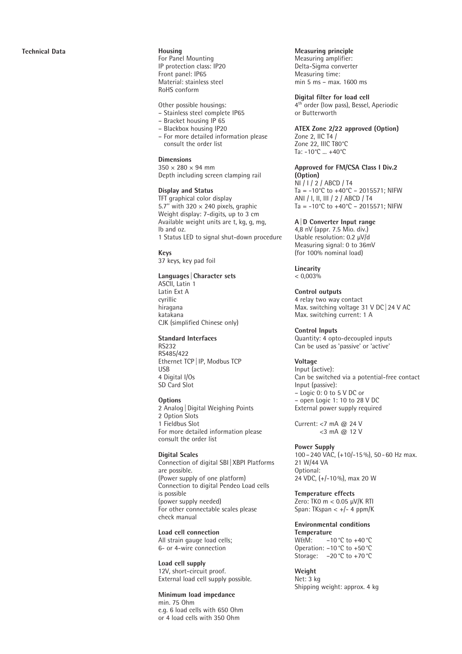For Panel Mounting IP protection class: IP20 Front panel: IP65 Material: stainless steel RoHS conform

Other possible housings:

- Stainless steel complete IP65
- Bracket housing IP 65
- Blackbox housing IP20
- For more detailed information please consult the order list

# **Dimensions**

 $350 \times 280 \times 94$  mm Depth including screen clamping rail

### **Display and Status**

TFT graphical color display 5.7" with 320  $\times$  240 pixels, graphic Weight display: 7-digits, up to 3 cm Available weight units are t, kg, g, mg, lb and oz. 1 Status LED to signal shut-down procedure

**Keys** 37 keys, key pad foil

#### **Languages |Character sets**

ASCII, Latin 1 Latin Ext A cyrillic hiragana katakana CJK (simplified Chinese only)

#### **Standard Interfaces**

RS232 RS485/422 Ethernet TCP |IP, Modbus TCP USB 4 Digital I/Os SD Card Slot

#### **Options**

2 Analog |Digital Weighing Points 2 Option Slots 1 Fieldbus Slot For more detailed information please consult the order list

# **Digital Scales**

Connection of digital SBI |XBPI Platforms are possible. (Power supply of one platform) Connection to digital Pendeo Load cells is possible (power supply needed) For other connectable scales please check manual

**Load cell connection** All strain gauge load cells; 6- or 4-wire connection

**Load cell supply** 12V, short-circuit proof. External load cell supply possible.

#### **Minimum load impedance**

min. 75 Ohm e.g. 6 load cells with 650 Ohm or 4 load cells with 350 Ohm

#### **Measuring principle**

Measuring amplifier: Delta-Sigma converter Measuring time: min 5 ms – max. 1600 ms

**Digital filter for load cell**<br>4<sup>th</sup> order (low pass), Bessel, Aperiodic or Butterworth

# **ATEX Zone 2/22 approved (Option)**

Zone 2, IIC T4 / Zone 22, IIIC T80°C Ta: -10°C ... +40°C

**Approved for FM/CSA Class I Div.2 (Option)** NI / I / 2 / ABCD / T4 Ta =  $-10^{\circ}$ C to  $+40^{\circ}$ C – 2015571; NIFW ANI / I, II, III / 2 / ABCD / T4 Ta =  $-10^{\circ}$ C to  $+40^{\circ}$ C – 2015571; NIFW

#### **A|D Converter Input range**

4,8 nV (appr. 7.5 Mio. div.) Usable resolution: 0.2 μV/d Measuring signal: 0 to 36mV (for 100% nominal load)

# **Linearity**

 $< 0.003\%$ 

#### **Control outputs** 4 relay two way contact

Max. switching voltage 31 V DC |24 V AC Max. switching current: 1 A

**Control Inputs** Quantity: 4 opto-decoupled inputs Can be used as 'passive' or 'active'

#### **Voltage**

Input (active): Can be switched via a potential-free contact Input (passive): – Logic 0: 0 to 5 V DC or – open Logic 1: 10 to 28 V DC External power supply required

Current: <7 mA @ 24 V  $<$ 3 mA @ 12 V

#### **Power Supply** 100 –240 VAC, (+10/-15%), 50 -60 Hz max. 21 W/44 VA Optional: 24 VDC, (+/-10%), max 20 W

**Temperature effects** Zero: TK0 m < 0.05 μV/K RTI Span: TKspan <  $+/- 4$  ppm/K

**Environmental conditions Temperature** W&M: -10 °C to +40 °C Operation: –10°C to +50°C Storage: –20°C to +70°C

**Weight** Net: 3 kg Shipping weight: approx. 4 kg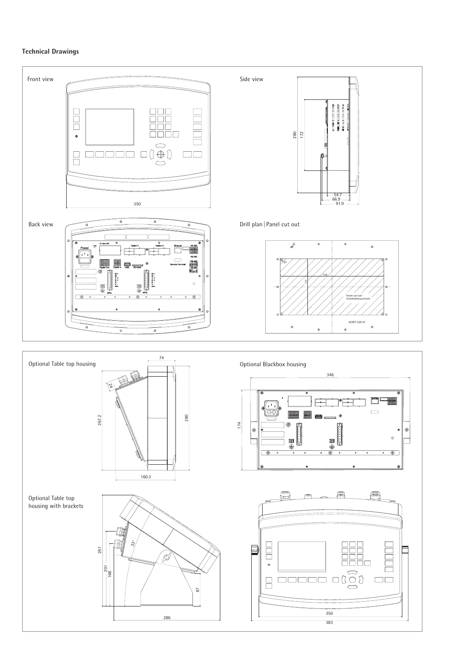# **Technical Drawings**

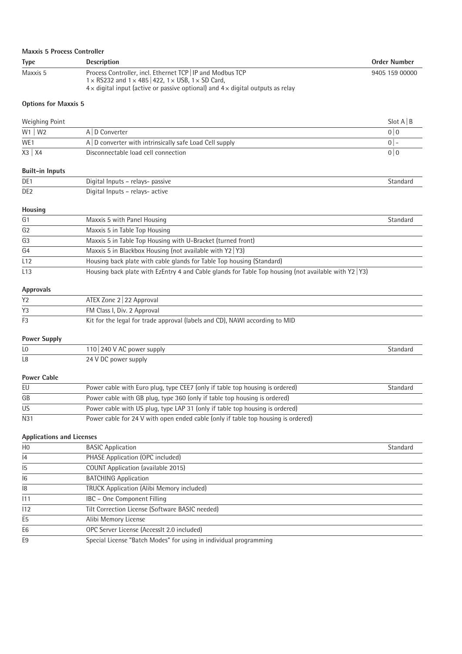| <b>Maxxis 5 Process Controller</b> |                                                                                                                                                                                                                                               |                |
|------------------------------------|-----------------------------------------------------------------------------------------------------------------------------------------------------------------------------------------------------------------------------------------------|----------------|
| <b>Type</b>                        | <b>Description</b>                                                                                                                                                                                                                            | Order Number   |
| Maxxis 5                           | Process Controller, incl. Ethernet TCP   IP and Modbus TCP<br>$1 \times$ RS232 and $1 \times$ 485   422, $1 \times$ USB, $1 \times$ SD Card,<br>$4 \times$ digital input (active or passive optional) and $4 \times$ digital outputs as relay | 9405 159 00000 |

# **Options for Maxxis 5**

| Weighing Point |                                                               | Slot A   B |
|----------------|---------------------------------------------------------------|------------|
| $W1$   W2      | A   D Converter                                               | 0 I U      |
| WE1            | $A \mid D$ converter with intrinsically safe Load Cell supply |            |
| $X3$   $X4$    | Disconnectable load cell connection                           | 0   0      |

# **Built-in Inputs**

| ______________  |                                  |          |
|-----------------|----------------------------------|----------|
| DE <sub>1</sub> | Digital Inputs – relays- passive | Standard |
| DE <sub>2</sub> | Digital Inputs – relays- active  |          |

# **Housing**

| G1             | Maxxis 5 with Panel Housing                                                                           | Standard |
|----------------|-------------------------------------------------------------------------------------------------------|----------|
| G <sub>2</sub> | Maxxis 5 in Table Top Housing                                                                         |          |
| G3             | Maxxis 5 in Table Top Housing with U-Bracket (turned front)                                           |          |
| G4             | Maxxis 5 in Blackbox Housing (not available with $Y2 Y3$ )                                            |          |
| L12            | Housing back plate with cable glands for Table Top housing (Standard)                                 |          |
| L13            | Housing back plate with EzEntry 4 and Cable glands for Table Top housing (not available with Y2   Y3) |          |

# **Approvals**

| Y <sub>2</sub> | ATEX Zone 2 22 Approval                                                     |
|----------------|-----------------------------------------------------------------------------|
|                | FM Class I, Div. 2 Approval                                                 |
| F <sub>3</sub> | Kit for the legal for trade approval (labels and CD), NAWI according to MID |

# **Power Supply**

| L <sub>0</sub>     | 110   240 V AC power supply                                                  | Standard |
|--------------------|------------------------------------------------------------------------------|----------|
| L <sub>8</sub>     | 24 V DC power supply                                                         |          |
| <b>Power Cable</b> |                                                                              |          |
| EU                 | Power cable with Euro plug, type CEE7 (only if table top housing is ordered) | Standard |

| EU        | Power cable with Euro plug, type CEE7 (only if table top housing is ordered)      | Standard |
|-----------|-----------------------------------------------------------------------------------|----------|
| GB        | Power cable with GB plug, type 360 (only if table top housing is ordered)         |          |
| <b>US</b> | Power cable with US plug, type LAP 31 (only if table top housing is ordered)      |          |
| N31       | Power cable for 24 V with open ended cable (only if table top housing is ordered) |          |

# **Applications and Licenses**

| H <sub>0</sub> | <b>BASIC Application</b>                                          | Standard |
|----------------|-------------------------------------------------------------------|----------|
| 4              | PHASE Application (OPC included)                                  |          |
| 15             | COUNT Application (available 2015)                                |          |
| 6              | <b>BATCHING Application</b>                                       |          |
| 8              | <b>TRUCK Application (Alibi Memory included)</b>                  |          |
| 111            | IBC - One Component Filling                                       |          |
| 112            | Tilt Correction License (Software BASIC needed)                   |          |
| E <sub>5</sub> | Alibi Memory License                                              |          |
| E <sub>6</sub> | OPC Server License (Accessit 2.0 included)                        |          |
| E <sub>9</sub> | Special License "Batch Modes" for using in individual programming |          |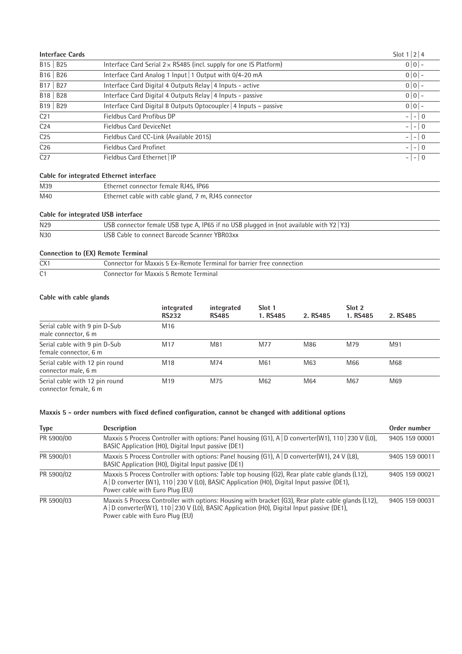| <b>Interface Cards</b>            |                                                                           | Slot $1 2 4$ |
|-----------------------------------|---------------------------------------------------------------------------|--------------|
| B <sub>15</sub>   B <sub>25</sub> | Interface Card Serial $2 \times$ RS485 (incl. supply for one IS Platform) | $0 0 $ –     |
| B16   B26                         | Interface Card Analog 1 Input   1 Output with 0/4-20 mA                   | $0 0 $ –     |
| B <sub>17</sub>   B <sub>27</sub> | Interface Card Digital 4 Outputs Relay   4 Inputs - active                | $0 0 $ –     |
| B18   B28                         | Interface Card Digital 4 Outputs Relay   4 Inputs - passive               | $0 0 $ –     |
| B <sub>19</sub>   B <sub>29</sub> | Interface Card Digital 8 Outputs Optocoupler   4 Inputs - passive         | $0 0 $ –     |
| C <sub>21</sub>                   | Fieldbus Card Profibus DP                                                 | $  0$        |
| C <sub>24</sub>                   | <b>Fieldbus Card DeviceNet</b>                                            | $- - 0 $     |
| C <sub>25</sub>                   | Fieldbus Card CC-Link (Available 2015)                                    | $- - 0 $     |
| C <sub>26</sub>                   | <b>Fieldbus Card Profinet</b>                                             | $- - 0 $     |
| C27                               | Fieldbus Card Ethernet   IP                                               | $- - 0 $     |

# **Cable for integrated Ethernet interface**

| M39 | Ethernet connector female RJ45, IP66                 |
|-----|------------------------------------------------------|
| M40 | Ethernet cable with cable gland, 7 m, RJ45 connector |

# **Cable for integrated USB interface**

| N <sub>29</sub> | USB connector female USB type A, IP65 if no USB plugged in (not available with $Y2 Y3$ ) |
|-----------------|------------------------------------------------------------------------------------------|
| N30             | USB Cable to connect Barcode Scanner YBR03xx                                             |

# **Connection to (EX) Remote Terminal**

| CX1       | Connector for Maxxis 5 Ex-Remote Terminal for barrier free connection |  |  |
|-----------|-----------------------------------------------------------------------|--|--|
| $\bigcap$ | Connector for Maxxis 5 Remote Terminal                                |  |  |

# **Cable with cable glands**

|                                                         | integrated      | integrated   | Slot 1   |          | Slot 2   |          |
|---------------------------------------------------------|-----------------|--------------|----------|----------|----------|----------|
|                                                         | <b>RS232</b>    | <b>RS485</b> | 1. RS485 | 2. RS485 | 1. RS485 | 2. RS485 |
| Serial cable with 9 pin D-Sub<br>male connector, 6 m    | M <sub>16</sub> |              |          |          |          |          |
| Serial cable with 9 pin D-Sub<br>female connector, 6 m  | M <sub>17</sub> | M81          | M77      | M86      | M79      | M91      |
| Serial cable with 12 pin round<br>connector male, 6 m   | M <sub>18</sub> | M74          | M61      | M63      | M66      | M68      |
| Serial cable with 12 pin round<br>connector female, 6 m | M <sub>19</sub> | M75          | M62      | M64      | M67      | M69      |

# **Maxxis 5 - order numbers with fixed defined configuration, cannot be changed with additional options**

| <b>Type</b> | <b>Description</b>                                                                                                                                                                                                                    | Order number   |
|-------------|---------------------------------------------------------------------------------------------------------------------------------------------------------------------------------------------------------------------------------------|----------------|
| PR 5900/00  | Maxxis 5 Process Controller with options: Panel housing (G1), A   D converter(W1), 110   230 V (L0),<br>BASIC Application (H0), Digital Input passive (DE1)                                                                           | 9405 159 00001 |
| PR 5900/01  | Maxxis 5 Process Controller with options: Panel housing (G1), A   D converter(W1), 24 V (L8),<br>BASIC Application (H0), Digital Input passive (DE1)                                                                                  | 9405 159 00011 |
| PR 5900/02  | Maxxis 5 Process Controller with options: Table top housing (G2), Rear plate cable glands (L12),<br>A   D converter (W1), 110   230 V (L0), BASIC Application (H0), Digital Input passive (DE1),<br>Power cable with Euro Plug (EU)   | 9405 159 00021 |
| PR 5900/03  | Maxxis 5 Process Controller with options: Housing with bracket (G3), Rear plate cable glands (L12),<br>A   D converter(W1), 110   230 V (L0), BASIC Application (H0), Digital Input passive (DE1),<br>Power cable with Euro Plug (EU) | 9405 159 00031 |